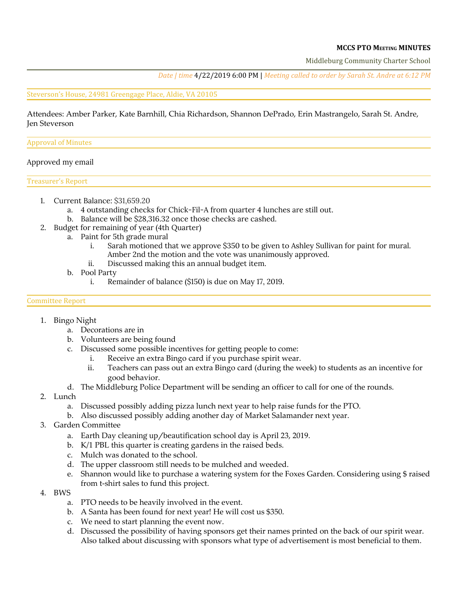### **MCCS PTO MEETING MINUTES**

Middleburg Community Charter School

*Date | time* 4/22/2019 6:00 PM | *Meeting called to order by Sarah St. Andre at 6:12 PM*

#### Steverson's House, 24981 Greengage Place, Aldie, VA 20105

Attendees: Amber Parker, Kate Barnhill, Chia Richardson, Shannon DePrado, Erin Mastrangelo, Sarah St. Andre, Jen Steverson

#### Approval of Minutes

### Approved my email

Treasurer's Report

- 1. Current Balance: \$31,659.20
	- a. 4 outstanding checks for Chick-Fil-A from quarter 4 lunches are still out.
	- b. Balance will be \$28,316.32 once those checks are cashed.
- 2. Budget for remaining of year (4th Quarter)
	- a. Paint for 5th grade mural
		- i. Sarah motioned that we approve \$350 to be given to Ashley Sullivan for paint for mural. Amber 2nd the motion and the vote was unanimously approved.
		- ii. Discussed making this an annual budget item.
	- b. Pool Party
		- i. Remainder of balance (\$150) is due on May 17, 2019.

#### Committee Report

- 1. Bingo Night
	- a. Decorations are in
	- b. Volunteers are being found
	- c. Discussed some possible incentives for getting people to come:
		- i. Receive an extra Bingo card if you purchase spirit wear.
		- ii. Teachers can pass out an extra Bingo card (during the week) to students as an incentive for good behavior.
	- d. The Middleburg Police Department will be sending an officer to call for one of the rounds.
- 2. Lunch
	- a. Discussed possibly adding pizza lunch next year to help raise funds for the PTO.
	- b. Also discussed possibly adding another day of Market Salamander next year.
- 3. Garden Committee
	- a. Earth Day cleaning up/beautification school day is April 23, 2019.
	- b. K/1 PBL this quarter is creating gardens in the raised beds.
	- c. Mulch was donated to the school.
	- d. The upper classroom still needs to be mulched and weeded.
	- e. Shannon would like to purchase a watering system for the Foxes Garden. Considering using \$ raised from t-shirt sales to fund this project.
- 4. BWS
	- a. PTO needs to be heavily involved in the event.
	- b. A Santa has been found for next year! He will cost us \$350.
	- c. We need to start planning the event now.
	- d. Discussed the possibility of having sponsors get their names printed on the back of our spirit wear. Also talked about discussing with sponsors what type of advertisement is most beneficial to them.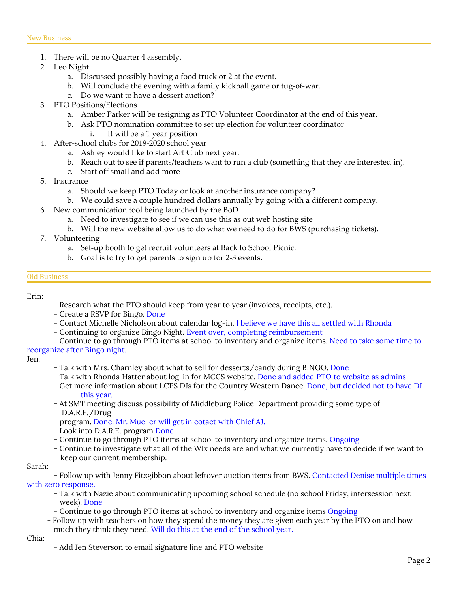- 1. There will be no Quarter 4 assembly.
- 2. Leo Night
	- a. Discussed possibly having a food truck or 2 at the event.
	- b. Will conclude the evening with a family kickball game or tug-of-war.
	- c. Do we want to have a dessert auction?
- 3. PTO Positions/Elections
	- a. Amber Parker will be resigning as PTO Volunteer Coordinator at the end of this year.
	- b. Ask PTO nomination committee to set up election for volunteer coordinator
		- i. It will be a 1 year position
- 4. After-school clubs for 2019-2020 school year
	- a. Ashley would like to start Art Club next year.
	- b. Reach out to see if parents/teachers want to run a club (something that they are interested in).
	- c. Start off small and add more
- 5. Insurance
	- a. Should we keep PTO Today or look at another insurance company?
	- b. We could save a couple hundred dollars annually by going with a different company.
- 6. New communication tool being launched by the BoD
	- a. Need to investigate to see if we can use this as out web hosting site
	- b. Will the new website allow us to do what we need to do for BWS (purchasing tickets).
- 7. Volunteering
	- a. Set-up booth to get recruit volunteers at Back to School Picnic.
	- b. Goal is to try to get parents to sign up for 2-3 events.

#### Old Business

Erin:

- Research what the PTO should keep from year to year (invoices, receipts, etc.).
- Create a RSVP for Bingo. Done
- Contact Michelle Nicholson about calendar log-in. I believe we have this all settled with Rhonda
- Continuing to organize Bingo Night. Event over, completing reimbursement
- Continue to go through PTO items at school to inventory and organize items. Need to take some time to reorganize after Bingo night.

#### Jen:

- Talk with Mrs. Charnley about what to sell for desserts/candy during BINGO. Done
- Talk with Rhonda Hatter about log-in for MCCS website. Done and added PTO to website as admins
- Get more information about LCPS DJs for the Country Western Dance. Done, but decided not to have DJ this year.
- At SMT meeting discuss possibility of Middleburg Police Department providing some type of D.A.R.E./Drug

program. Done. Mr. Mueller will get in cotact with Chief AJ.

- Look into D.A.R.E. program Done
- Continue to go through PTO items at school to inventory and organize items. Ongoing
- Continue to investigate what all of the WIx needs are and what we currently have to decide if we want to keep our current membership.

#### Sarah:

- Follow up with Jenny Fitzgibbon about leftover auction items from BWS. Contacted Denise multiple times with zero response.
	- Talk with Nazie about communicating upcoming school schedule (no school Friday, intersession next week). Done
	- Continue to go through PTO items at school to inventory and organize items Ongoing
	- Follow up with teachers on how they spend the money they are given each year by the PTO on and how much they think they need. Will do this at the end of the school year.

Chia:

- Add Jen Steverson to email signature line and PTO website